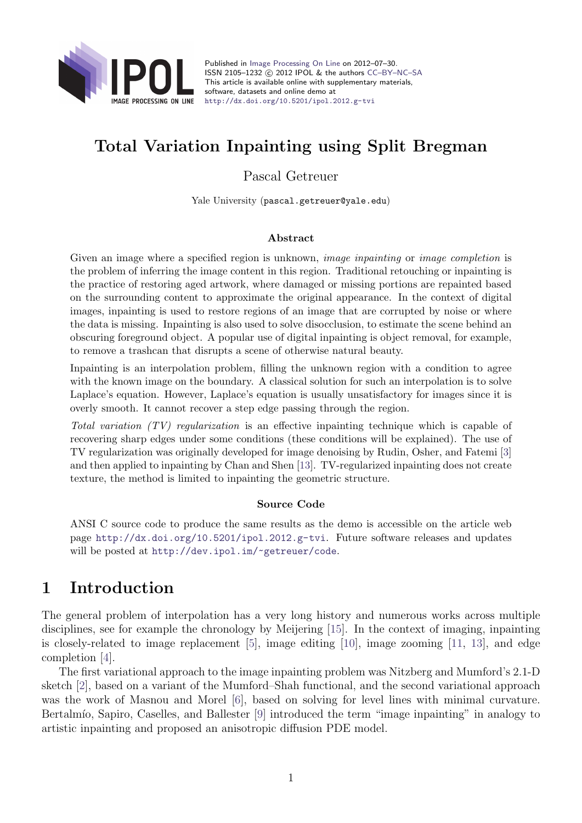

Published in [Image Processing On Line](http://dx.doi.org/10.5201/ipol) on 2012–07–30. ISSN 2105-1232 © 2012 IPOL & the authors CC-BY-NC-SA This article is available online with supplementary materials, software, datasets and online demo at <http://dx.doi.org/10.5201/ipol.2012.g-tvi>

# Total Variation Inpainting using Split Bregman

Pascal Getreuer

Yale University (pascal.getreuer@yale.edu)

#### Abstract

Given an image where a specified region is unknown, *image inpainting* or *image completion* is the problem of inferring the image content in this region. Traditional retouching or inpainting is the practice of restoring aged artwork, where damaged or missing portions are repainted based on the surrounding content to approximate the original appearance. In the context of digital images, inpainting is used to restore regions of an image that are corrupted by noise or where the data is missing. Inpainting is also used to solve disocclusion, to estimate the scene behind an obscuring foreground object. A popular use of digital inpainting is object removal, for example, to remove a trashcan that disrupts a scene of otherwise natural beauty.

Inpainting is an interpolation problem, filling the unknown region with a condition to agree with the known image on the boundary. A classical solution for such an interpolation is to solve Laplace's equation. However, Laplace's equation is usually unsatisfactory for images since it is overly smooth. It cannot recover a step edge passing through the region.

Total variation (TV) regularization is an effective inpainting technique which is capable of recovering sharp edges under some conditions (these conditions will be explained). The use of TV regularization was originally developed for image denoising by Rudin, Osher, and Fatemi [\[3\]](#page-8-0) and then applied to inpainting by Chan and Shen [\[13\]](#page-9-0). TV-regularized inpainting does not create texture, the method is limited to inpainting the geometric structure.

#### Source Code

ANSI C source code to produce the same results as the demo is accessible on the article web page <http://dx.doi.org/10.5201/ipol.2012.g-tvi>. Future software releases and updates will be posted at <http://dev.ipol.im/~getreuer/code>.

# 1 Introduction

The general problem of interpolation has a very long history and numerous works across multiple disciplines, see for example the chronology by Meijering [\[15\]](#page-9-1). In the context of imaging, inpainting is closely-related to image replacement [\[5\]](#page-8-1), image editing [\[10\]](#page-8-2), image zooming [\[11,](#page-8-3) [13\]](#page-9-0), and edge completion [\[4\]](#page-8-4).

The first variational approach to the image inpainting problem was Nitzberg and Mumford's 2.1-D sketch [\[2\]](#page-8-5), based on a variant of the Mumford–Shah functional, and the second variational approach was the work of Masnou and Morel [\[6\]](#page-8-6), based on solving for level lines with minimal curvature. Bertalmío, Sapiro, Caselles, and Ballester [\[9\]](#page-8-7) introduced the term "image inpainting" in analogy to artistic inpainting and proposed an anisotropic diffusion PDE model.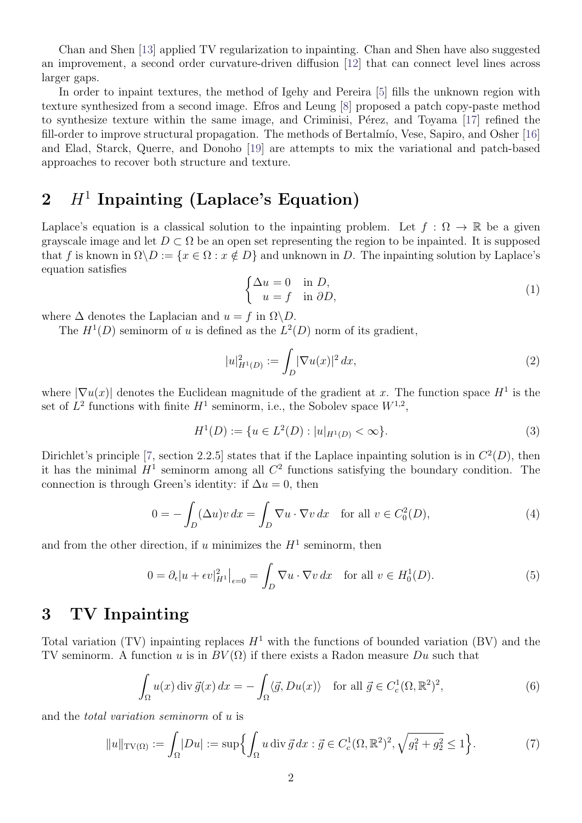Chan and Shen [\[13\]](#page-9-0) applied TV regularization to inpainting. Chan and Shen have also suggested an improvement, a second order curvature-driven diffusion [\[12\]](#page-9-2) that can connect level lines across larger gaps.

In order to inpaint textures, the method of Igehy and Pereira [\[5\]](#page-8-1) fills the unknown region with texture synthesized from a second image. Efros and Leung [\[8\]](#page-8-8) proposed a patch copy-paste method to synthesize texture within the same image, and Criminisi, Pérez, and Toyama [\[17\]](#page-9-3) refined the fill-order to improve structural propagation. The methods of Bertalmío, Vese, Sapiro, and Osher [\[16\]](#page-9-4) and Elad, Starck, Querre, and Donoho [\[19\]](#page-9-5) are attempts to mix the variational and patch-based approaches to recover both structure and texture.

# $2$   $H^1$  Inpainting (Laplace's Equation)

Laplace's equation is a classical solution to the inpainting problem. Let  $f : \Omega \to \mathbb{R}$  be a given grayscale image and let  $D \subset \Omega$  be an open set representing the region to be inpainted. It is supposed that f is known in  $\Omega \backslash D := \{x \in \Omega : x \notin D\}$  and unknown in D. The inpainting solution by Laplace's equation satisfies

$$
\begin{cases} \Delta u = 0 & \text{in } D, \\ u = f & \text{in } \partial D, \end{cases}
$$
 (1)

where  $\Delta$  denotes the Laplacian and  $u = f$  in  $\Omega \backslash D$ .

The  $H^1(D)$  seminorm of u is defined as the  $L^2(D)$  norm of its gradient,

$$
|u|_{H^1(D)}^2 := \int_D |\nabla u(x)|^2 \, dx,\tag{2}
$$

where  $|\nabla u(x)|$  denotes the Euclidean magnitude of the gradient at x. The function space  $H^1$  is the set of  $L^2$  functions with finite  $H^1$  seminorm, i.e., the Sobolev space  $W^{1,2}$ ,

$$
H^{1}(D) := \{ u \in L^{2}(D) : |u|_{H^{1}(D)} < \infty \}.
$$
\n(3)

Dirichlet's principle [\[7,](#page-8-9) section 2.2.5] states that if the Laplace inpainting solution is in  $C^2(D)$ , then it has the minimal  $H^1$  seminorm among all  $C^2$  functions satisfying the boundary condition. The connection is through Green's identity: if  $\Delta u = 0$ , then

$$
0 = -\int_D (\Delta u) v \, dx = \int_D \nabla u \cdot \nabla v \, dx \quad \text{for all } v \in C_0^2(D), \tag{4}
$$

and from the other direction, if u minimizes the  $H<sup>1</sup>$  seminorm, then

$$
0 = \partial_{\epsilon}|u + \epsilon v|_{H^{1}}^{2}\big|_{\epsilon=0} = \int_{D} \nabla u \cdot \nabla v \, dx \quad \text{for all } v \in H^{1}_{0}(D). \tag{5}
$$

## 3 TV Inpainting

Total variation (TV) inpainting replaces  $H^1$  with the functions of bounded variation (BV) and the TV seminorm. A function u is in  $BV(\Omega)$  if there exists a Radon measure Du such that

$$
\int_{\Omega} u(x) \operatorname{div} \vec{g}(x) dx = -\int_{\Omega} \langle \vec{g}, Du(x) \rangle \quad \text{for all } \vec{g} \in C_c^1(\Omega, \mathbb{R}^2)^2,
$$
 (6)

and the total variation seminorm of u is

$$
||u||_{\text{TV}(\Omega)} := \int_{\Omega} |Du| := \sup \Biggl\{ \int_{\Omega} u \, \text{div} \, \vec{g} \, dx : \vec{g} \in C_c^1(\Omega, \mathbb{R}^2)^2, \sqrt{g_1^2 + g_2^2} \le 1 \Biggr\}.
$$
 (7)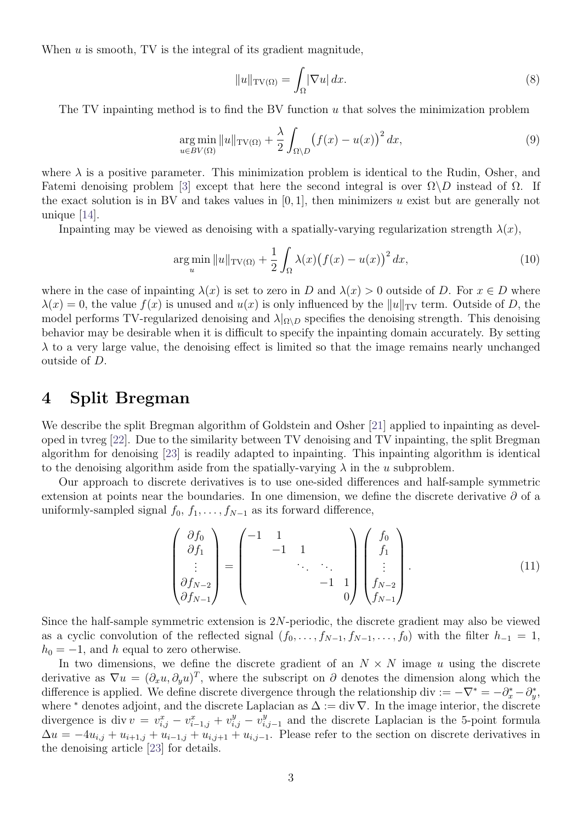When  $u$  is smooth, TV is the integral of its gradient magnitude,

$$
||u||_{\text{TV}(\Omega)} = \int_{\Omega} |\nabla u| \, dx. \tag{8}
$$

The TV inpainting method is to find the BV function u that solves the minimization problem

$$
\underset{u \in BV(\Omega)}{\arg \min} \|u\|_{\text{TV}(\Omega)} + \frac{\lambda}{2} \int_{\Omega \setminus D} \left(f(x) - u(x)\right)^2 dx,\tag{9}
$$

where  $\lambda$  is a positive parameter. This minimization problem is identical to the Rudin, Osher, and Fatemi denoising problem [\[3\]](#page-8-0) except that here the second integral is over  $\Omega \backslash D$  instead of  $\Omega$ . If the exact solution is in BV and takes values in  $[0, 1]$ , then minimizers u exist but are generally not unique [\[14\]](#page-9-6).

Inpainting may be viewed as denoising with a spatially-varying regularization strength  $\lambda(x)$ ,

$$
\underset{u}{\arg\min} \|u\|_{\text{TV}(\Omega)} + \frac{1}{2} \int_{\Omega} \lambda(x) \big(f(x) - u(x)\big)^2 \, dx,\tag{10}
$$

where in the case of inpainting  $\lambda(x)$  is set to zero in D and  $\lambda(x) > 0$  outside of D. For  $x \in D$  where  $\lambda(x) = 0$ , the value  $f(x)$  is unused and  $u(x)$  is only influenced by the  $||u||_{TV}$  term. Outside of D, the model performs TV-regularized denoising and  $\lambda|_{\Omega\setminus D}$  specifies the denoising strength. This denoising behavior may be desirable when it is difficult to specify the inpainting domain accurately. By setting  $\lambda$  to a very large value, the denoising effect is limited so that the image remains nearly unchanged outside of D.

#### 4 Split Bregman

We describe the split Bregman algorithm of Goldstein and Osher [\[21\]](#page-9-7) applied to inpainting as developed in tvreg [\[22\]](#page-9-8). Due to the similarity between TV denoising and TV inpainting, the split Bregman algorithm for denoising [\[23\]](#page-9-9) is readily adapted to inpainting. This inpainting algorithm is identical to the denoising algorithm aside from the spatially-varying  $\lambda$  in the u subproblem.

Our approach to discrete derivatives is to use one-sided differences and half-sample symmetric extension at points near the boundaries. In one dimension, we define the discrete derivative  $\partial$  of a uniformly-sampled signal  $f_0, f_1, \ldots, f_{N-1}$  as its forward difference,

$$
\begin{pmatrix}\n\partial f_0 \\
\partial f_1 \\
\vdots \\
\partial f_{N-2} \\
\partial f_{N-1}\n\end{pmatrix} = \begin{pmatrix}\n-1 & 1 & & & \\
 & -1 & 1 & & \\
 & & \ddots & \ddots & \\
 & & & -1 & 1 \\
 & & & & 0\n\end{pmatrix} \begin{pmatrix}\nf_0 \\
f_1 \\
\vdots \\
f_{N-2} \\
f_{N-1}\n\end{pmatrix} .
$$
\n(11)

Since the half-sample symmetric extension is  $2N$ -periodic, the discrete gradient may also be viewed as a cyclic convolution of the reflected signal  $(f_0, \ldots, f_{N-1}, f_{N-1}, \ldots, f_0)$  with the filter  $h_{-1} = 1$ ,  $h_0 = -1$ , and h equal to zero otherwise.

In two dimensions, we define the discrete gradient of an  $N \times N$  image u using the discrete derivative as  $\nabla u = (\partial_x u, \partial_y u)^T$ , where the subscript on  $\partial$  denotes the dimension along which the difference is applied. We define discrete divergence through the relationship div  $:= -\nabla^* = -\partial_x^* - \partial_y^*,$ where <sup>∗</sup> denotes adjoint, and the discrete Laplacian as  $\Delta := \text{div } \nabla$ . In the image interior, the discrete divergence is div  $v = v_{i,j}^x - v_{i-1,j}^x + v_{i,j}^y - v_{i,j}^y$  $_{i,j-1}^{y}$  and the discrete Laplacian is the 5-point formula  $\Delta u = -4u_{i,j} + u_{i+1,j} + u_{i-1,j} + u_{i,j+1} + u_{i,j-1}$ . Please refer to the section on discrete derivatives in the denoising article [\[23\]](#page-9-9) for details.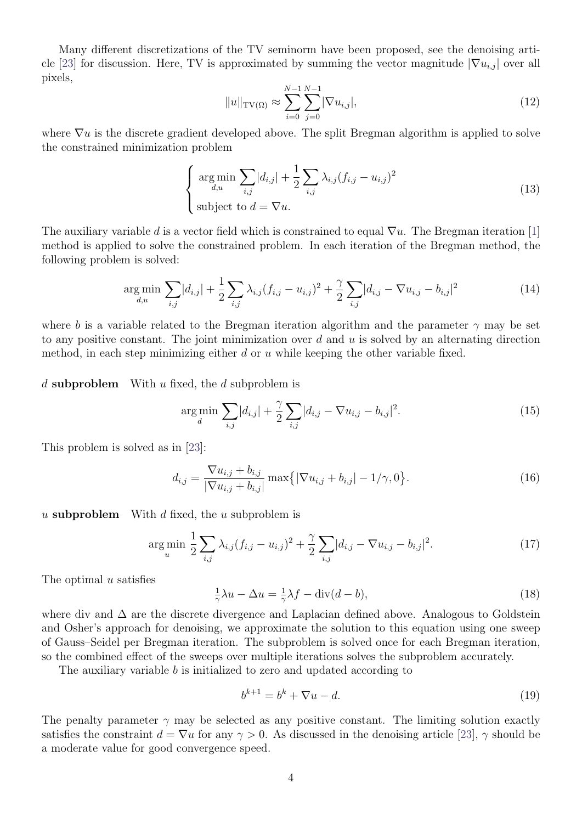Many different discretizations of the TV seminorm have been proposed, see the denoising arti-cle [\[23\]](#page-9-9) for discussion. Here, TV is approximated by summing the vector magnitude  $|\nabla u_{i,j}|$  over all pixels,

$$
||u||_{\text{TV}(\Omega)} \approx \sum_{i=0}^{N-1} \sum_{j=0}^{N-1} |\nabla u_{i,j}|,\tag{12}
$$

where  $\nabla u$  is the discrete gradient developed above. The split Bregman algorithm is applied to solve the constrained minimization problem

$$
\begin{cases}\n\arg\min_{d,u} \sum_{i,j} |d_{i,j}| + \frac{1}{2} \sum_{i,j} \lambda_{i,j} (f_{i,j} - u_{i,j})^2 \\
\text{subject to } d = \nabla u.\n\end{cases}
$$
\n(13)

The auxiliary variable d is a vector field which is constrained to equal  $\nabla u$ . The Bregman iteration [\[1\]](#page-8-10) method is applied to solve the constrained problem. In each iteration of the Bregman method, the following problem is solved:

$$
\underset{d,u}{\arg\min} \sum_{i,j} |d_{i,j}| + \frac{1}{2} \sum_{i,j} \lambda_{i,j} (f_{i,j} - u_{i,j})^2 + \frac{\gamma}{2} \sum_{i,j} |d_{i,j} - \nabla u_{i,j} - b_{i,j}|^2 \tag{14}
$$

where b is a variable related to the Bregman iteration algorithm and the parameter  $\gamma$  may be set to any positive constant. The joint minimization over  $d$  and  $u$  is solved by an alternating direction method, in each step minimizing either  $d$  or  $u$  while keeping the other variable fixed.

d subproblem With u fixed, the d subproblem is

$$
\underset{d}{\arg\min} \sum_{i,j} |d_{i,j}| + \frac{\gamma}{2} \sum_{i,j} |d_{i,j} - \nabla u_{i,j} - b_{i,j}|^2. \tag{15}
$$

This problem is solved as in [\[23\]](#page-9-9):

$$
d_{i,j} = \frac{\nabla u_{i,j} + b_{i,j}}{|\nabla u_{i,j} + b_{i,j}|} \max\{|\nabla u_{i,j} + b_{i,j}| - 1/\gamma, 0\}.
$$
 (16)

u subproblem With d fixed, the u subproblem is

$$
\underset{u}{\arg\min} \frac{1}{2} \sum_{i,j} \lambda_{i,j} (f_{i,j} - u_{i,j})^2 + \frac{\gamma}{2} \sum_{i,j} |d_{i,j} - \nabla u_{i,j} - b_{i,j}|^2. \tag{17}
$$

The optimal  $u$  satisfies

$$
\frac{1}{\gamma}\lambda u - \Delta u = \frac{1}{\gamma}\lambda f - \text{div}(d - b),\tag{18}
$$

where div and ∆ are the discrete divergence and Laplacian defined above. Analogous to Goldstein and Osher's approach for denoising, we approximate the solution to this equation using one sweep of Gauss–Seidel per Bregman iteration. The subproblem is solved once for each Bregman iteration, so the combined effect of the sweeps over multiple iterations solves the subproblem accurately.

The auxiliary variable b is initialized to zero and updated according to

$$
b^{k+1} = b^k + \nabla u - d.\tag{19}
$$

The penalty parameter  $\gamma$  may be selected as any positive constant. The limiting solution exactly satisfies the constraint  $d = \nabla u$  for any  $\gamma > 0$ . As discussed in the denoising article [\[23\]](#page-9-9),  $\gamma$  should be a moderate value for good convergence speed.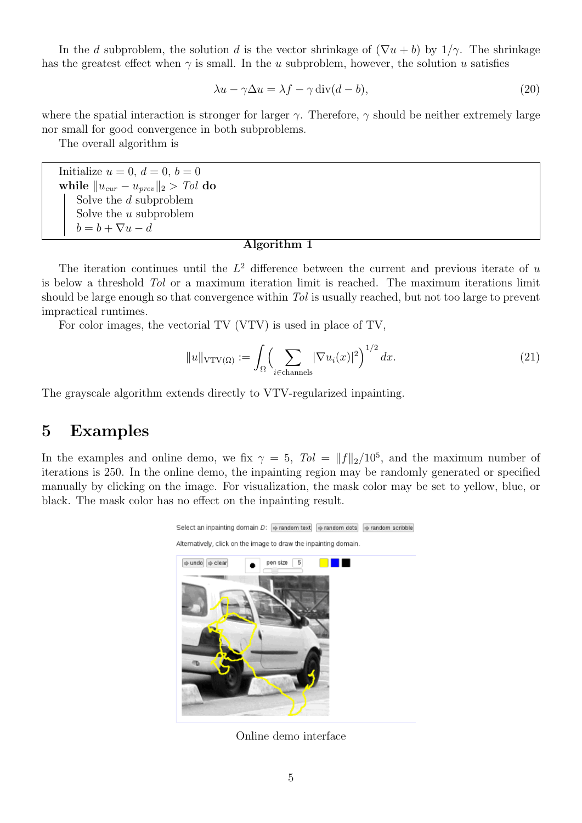In the d subproblem, the solution d is the vector shrinkage of  $(\nabla u + b)$  by  $1/\gamma$ . The shrinkage has the greatest effect when  $\gamma$  is small. In the u subproblem, however, the solution u satisfies

$$
\lambda u - \gamma \Delta u = \lambda f - \gamma \operatorname{div}(d - b),\tag{20}
$$

where the spatial interaction is stronger for larger  $\gamma$ . Therefore,  $\gamma$  should be neither extremely large nor small for good convergence in both subproblems.

The overall algorithm is

Initialize  $u = 0, d = 0, b = 0$ while  $||u_{cur} - u_{prev}||_2 > Tol$  do Solve the d subproblem Solve the u subproblem  $b = b + \nabla u - d$ 

#### Algorithm 1

The iteration continues until the  $L^2$  difference between the current and previous iterate of u is below a threshold Tol or a maximum iteration limit is reached. The maximum iterations limit should be large enough so that convergence within Tol is usually reached, but not too large to prevent impractical runtimes.

For color images, the vectorial TV (VTV) is used in place of TV,

$$
||u||_{\text{VTV}(\Omega)} := \int_{\Omega} \Biggl(\sum_{i \in \text{channels}} |\nabla u_i(x)|^2\Biggr)^{1/2} dx. \tag{21}
$$

The grayscale algorithm extends directly to VTV-regularized inpainting.

### 5 Examples

In the examples and online demo, we fix  $\gamma = 5$ ,  $Tol = ||f||_2/10^5$ , and the maximum number of iterations is 250. In the online demo, the inpainting region may be randomly generated or specified manually by clicking on the image. For visualization, the mask color may be set to yellow, blue, or black. The mask color has no effect on the inpainting result.



Online demo interface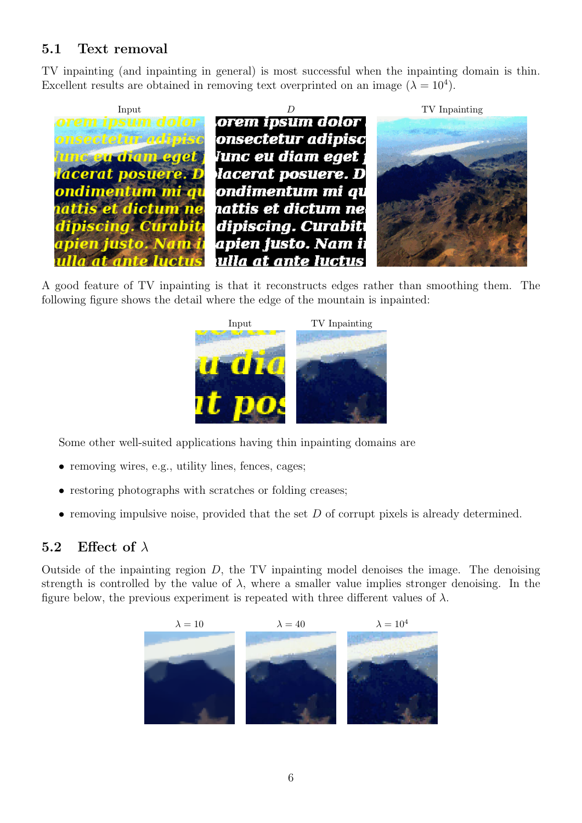## 5.1 Text removal

TV inpainting (and inpainting in general) is most successful when the inpainting domain is thin. Excellent results are obtained in removing text overprinted on an image  $(\lambda = 10^4)$ .



A good feature of TV inpainting is that it reconstructs edges rather than smoothing them. The following figure shows the detail where the edge of the mountain is inpainted:



Some other well-suited applications having thin inpainting domains are

- removing wires, e.g., utility lines, fences, cages;
- restoring photographs with scratches or folding creases;
- removing impulsive noise, provided that the set  $D$  of corrupt pixels is already determined.

#### 5.2 Effect of  $\lambda$

Outside of the inpainting region  $D$ , the TV inpainting model denoises the image. The denoising strength is controlled by the value of  $\lambda$ , where a smaller value implies stronger denoising. In the figure below, the previous experiment is repeated with three different values of  $\lambda$ .

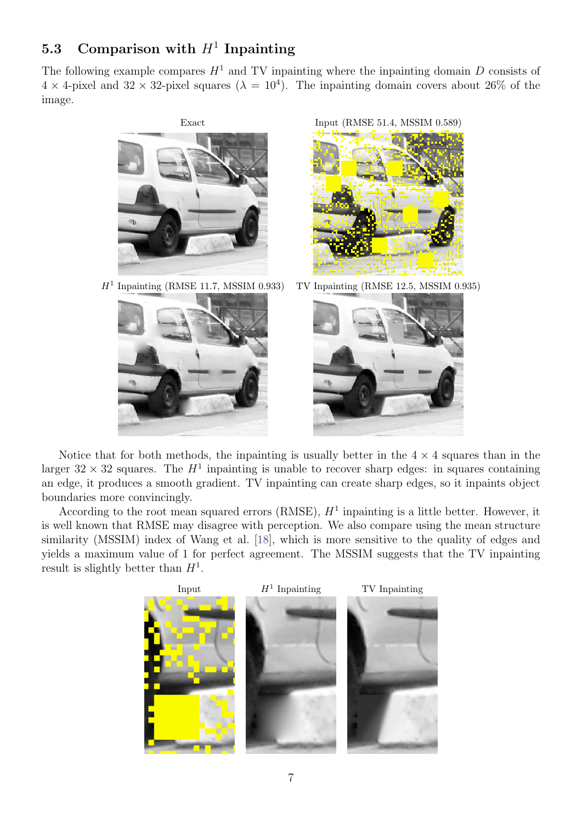## 5.3 Comparison with  $H^1$  Inpainting

The following example compares  $H^1$  and TV inpainting where the inpainting domain D consists of  $4 \times 4$ -pixel and  $32 \times 32$ -pixel squares  $(\lambda = 10^4)$ . The inpainting domain covers about 26% of the image.



 $H<sup>1</sup>$  Inpainting (RMSE 11.7, MSSIM 0.933)





TV Inpainting (RMSE 12.5, MSSIM  $0.935$ )



Notice that for both methods, the inpainting is usually better in the  $4 \times 4$  squares than in the larger  $32 \times 32$  squares. The  $H<sup>1</sup>$  inpainting is unable to recover sharp edges: in squares containing an edge, it produces a smooth gradient. TV inpainting can create sharp edges, so it inpaints object boundaries more convincingly.

According to the root mean squared errors (RMSE),  $H<sup>1</sup>$  inpainting is a little better. However, it is well known that RMSE may disagree with perception. We also compare using the mean structure similarity (MSSIM) index of Wang et al. [\[18\]](#page-9-10), which is more sensitive to the quality of edges and yields a maximum value of 1 for perfect agreement. The MSSIM suggests that the TV inpainting result is slightly better than  $H<sup>1</sup>$ .

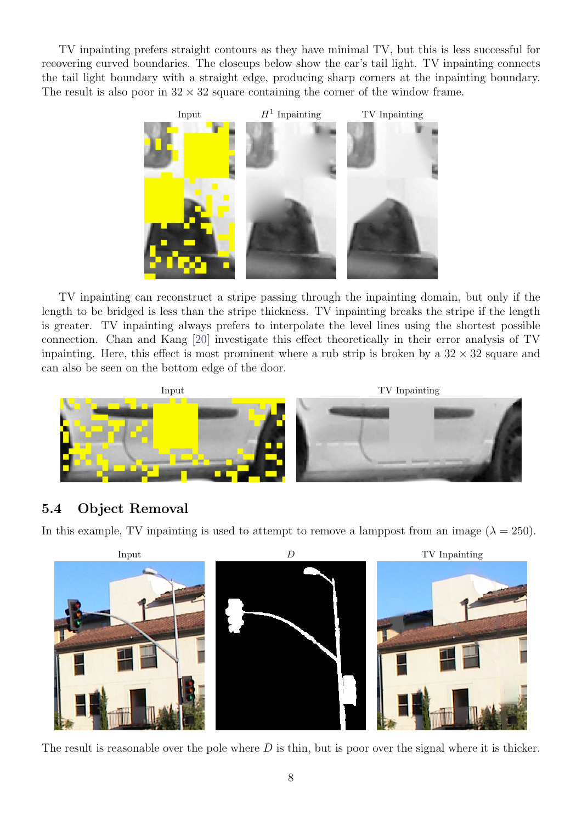TV inpainting prefers straight contours as they have minimal TV, but this is less successful for recovering curved boundaries. The closeups below show the car's tail light. TV inpainting connects the tail light boundary with a straight edge, producing sharp corners at the inpainting boundary. The result is also poor in  $32 \times 32$  square containing the corner of the window frame.



TV inpainting can reconstruct a stripe passing through the inpainting domain, but only if the length to be bridged is less than the stripe thickness. TV inpainting breaks the stripe if the length is greater. TV inpainting always prefers to interpolate the level lines using the shortest possible connection. Chan and Kang [\[20\]](#page-9-11) investigate this effect theoretically in their error analysis of TV inpainting. Here, this effect is most prominent where a rub strip is broken by a  $32 \times 32$  square and can also be seen on the bottom edge of the door.



#### 5.4 Object Removal

In this example, TV inpainting is used to attempt to remove a lamppost from an image  $(\lambda = 250)$ .



The result is reasonable over the pole where  $D$  is thin, but is poor over the signal where it is thicker.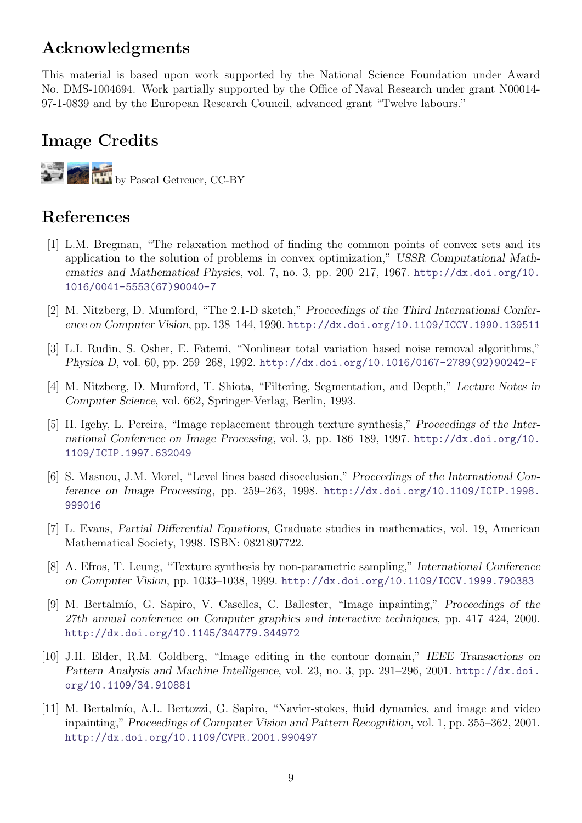# Acknowledgments

This material is based upon work supported by the National Science Foundation under Award No. DMS-1004694. Work partially supported by the Office of Naval Research under grant N00014- 97-1-0839 and by the European Research Council, advanced grant "Twelve labours."

## Image Credits

by Pascal Getreuer, CC-BY

# References

- <span id="page-8-10"></span>[1] L.M. Bregman, "The relaxation method of finding the common points of convex sets and its application to the solution of problems in convex optimization," USSR Computational Mathematics and Mathematical Physics, vol. 7, no. 3, pp. 200–217, 1967. [http://dx.doi.org/10.](http://dx.doi.org/10.1016/0041-5553(67)90040-7) [1016/0041-5553\(67\)90040-7](http://dx.doi.org/10.1016/0041-5553(67)90040-7)
- <span id="page-8-5"></span>[2] M. Nitzberg, D. Mumford, "The 2.1-D sketch," Proceedings of the Third International Conference on Computer Vision, pp. 138–144, 1990. <http://dx.doi.org/10.1109/ICCV.1990.139511>
- <span id="page-8-0"></span>[3] L.I. Rudin, S. Osher, E. Fatemi, "Nonlinear total variation based noise removal algorithms," Physica D, vol. 60, pp. 259–268, 1992. [http://dx.doi.org/10.1016/0167-2789\(92\)90242-F](http://dx.doi.org/10.1016/0167-2789(92)90242-F)
- <span id="page-8-4"></span>[4] M. Nitzberg, D. Mumford, T. Shiota, "Filtering, Segmentation, and Depth," Lecture Notes in Computer Science, vol. 662, Springer-Verlag, Berlin, 1993.
- <span id="page-8-1"></span>[5] H. Igehy, L. Pereira, "Image replacement through texture synthesis," Proceedings of the International Conference on Image Processing, vol. 3, pp. 186–189, 1997. [http://dx.doi.org/10.](http://dx.doi.org/10.1109/ICIP.1997.632049) [1109/ICIP.1997.632049](http://dx.doi.org/10.1109/ICIP.1997.632049)
- <span id="page-8-6"></span>[6] S. Masnou, J.M. Morel, "Level lines based disocclusion," Proceedings of the International Conference on Image Processing, pp. 259–263, 1998. [http://dx.doi.org/10.1109/ICIP.1998.](http://dx.doi.org/10.1109/ICIP.1998.999016) [999016](http://dx.doi.org/10.1109/ICIP.1998.999016)
- <span id="page-8-9"></span>[7] L. Evans, Partial Differential Equations, Graduate studies in mathematics, vol. 19, American Mathematical Society, 1998. ISBN: 0821807722.
- <span id="page-8-8"></span>[8] A. Efros, T. Leung, "Texture synthesis by non-parametric sampling," International Conference on Computer Vision, pp. 1033–1038, 1999. <http://dx.doi.org/10.1109/ICCV.1999.790383>
- <span id="page-8-7"></span>[9] M. Bertalmío, G. Sapiro, V. Caselles, C. Ballester, "Image inpainting," Proceedings of the 27th annual conference on Computer graphics and interactive techniques, pp. 417–424, 2000. <http://dx.doi.org/10.1145/344779.344972>
- <span id="page-8-2"></span>[10] J.H. Elder, R.M. Goldberg, "Image editing in the contour domain," IEEE Transactions on Pattern Analysis and Machine Intelligence, vol. 23, no. 3, pp. 291–296, 2001. [http://dx.doi.](http://dx.doi.org/10.1109/34.910881) [org/10.1109/34.910881](http://dx.doi.org/10.1109/34.910881)
- <span id="page-8-3"></span>[11] M. Bertalmío, A.L. Bertozzi, G. Sapiro, "Navier-stokes, fluid dynamics, and image and video inpainting," Proceedings of Computer Vision and Pattern Recognition, vol. 1, pp. 355–362, 2001. <http://dx.doi.org/10.1109/CVPR.2001.990497>